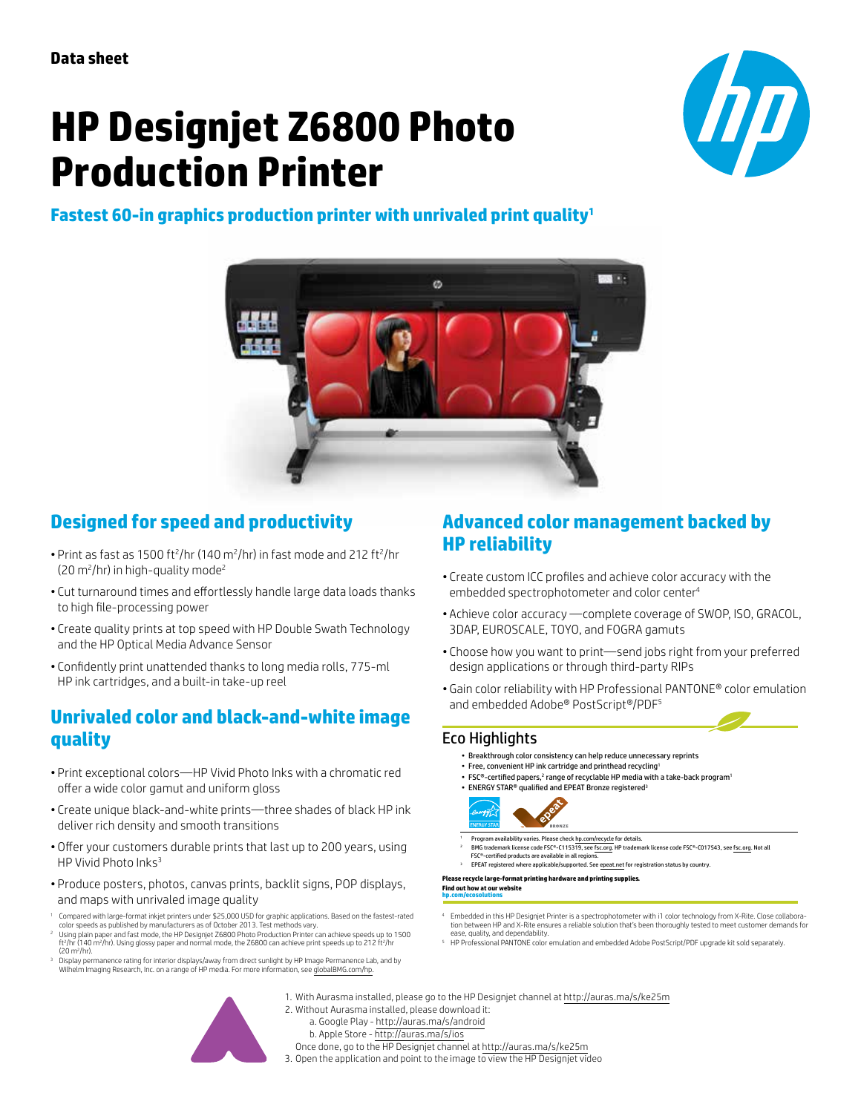# **HP Designjet Z6800 Photo Production Printer**

**Fastest 60-in graphics production printer with unrivaled print quality1**

 $\boldsymbol{D}$ 



## **Designed for speed and productivity**

- Print as fast as 1500 ft<sup>2</sup>/hr (140 m<sup>2</sup>/hr) in fast mode and 212 ft<sup>2</sup>/hr  $(20 \text{ m}^2/\text{hr})$  in high-quality mode<sup>2</sup>
- Cut turnaround times and effortlessly handle large data loads thanks to high file-processing power
- Create quality prints at top speed with HP Double Swath Technology and the HP Optical Media Advance Sensor
- Confidently print unattended thanks to long media rolls, 775-ml HP ink cartridges, and a built-in take-up reel

### **Unrivaled color and black-and-white image quality**

- Print exceptional colors—HP Vivid Photo Inks with a chromatic red offer a wide color gamut and uniform gloss
- Create unique black-and-white prints—three shades of black HP ink deliver rich density and smooth transitions
- Offer your customers durable prints that last up to 200 years, using HP Vivid Photo Inks<sup>3</sup>
- Produce posters, photos, canvas prints, backlit signs, POP displays, and maps with unrivaled image quality
- <sup>1</sup> Compared with large-format inkjet printers under \$25,000 USD for graphic applications. Based on the fastest-rated color speeds as published by manufacturers as of October 2013. Test methods vary.
- $^2$  Using plain paper and fast mode, the HP Designjet Z6800 Photo Production Printer can achieve speeds up to 1500<br>ft?/hr (140 m?/hr). Using glossy paper and normal mode, the Z6800 can achieve print speeds up to 212 ft?/ (20 m2 /hr).
- <sup>3</sup> Display permanence rating for interior displays/away from direct sunlight by HP Image Permanence Lab, and by Wilhelm Imaging Research, Inc. on a range of HP media. For more information, see [globalBMG.com/hp.](www.globalBMG.com/hp)

### **Advanced color management backed by HP reliability**

- Create custom ICC profiles and achieve color accuracy with the embedded spectrophotometer and color center<sup>4</sup>
- Achieve color accuracy —complete coverage of SWOP, ISO, GRACOL, 3DAP, EUROSCALE, TOYO, and FOGRA gamuts
- Choose how you want to print—send jobs right from your preferred design applications or through third-party RIPs
- Gain color reliability with HP Professional PANTONE® color emulation and embedded Adobe® PostScript®/PDF<sup>5</sup>

### Eco Highlights

- Breakthrough color consistency can help reduce unnecessary reprints
- Free, convenient HP ink cartridge and printhead recycling1
- FSC®-certified papers,<sup>2</sup> range of recyclable HP media with a take-back program • ENERGY STAR® qualified and EPEAT Bronze registered<sup>3</sup>



- Program availability varies. Please chec[k hp.com/recycle](www.hp.com/recycle) for details.
- 2 BMG trademark license code FSC®-C115319, se[e fsc.org. H](www.fsc.org)P trademark license code FSC®-C017543, se[e fsc.org. N](www.fsc.org)ot all  $\mathsf{FSC}^\circ$ -certified products are available in all regio
- <sup>3</sup> EPEAT registered where applicable/supported. Se[e epeat.net f](www.epeat.net)or registration status by country.

#### **Please recycle large-format printing hardware and printing supplies. [Find out how at our web](www.hp.com/ecosolutions)site [hp.com/ecosolutions](www.hp.com/ecosolutions)**

- 4 Embedded in this HP Designjet Printer is a spectrophotometer with i1 color technology from X-Rite. Close collaboration between HP and X-Rite ensures a reliable solution that's been thoroughly tested to meet customer demands for ease, quality, and dependability.
- <sup>5</sup> HP Professional PANTONE color emulation and embedded Adobe PostScript/PDF upgrade kit sold separately.

- 1. With Aurasma installed, please go to the HP Designjet channel at<http://auras.ma/s/ke25m>
- 2. Without Aurasma installed, please download it:
	- a. Google Play <http://auras.ma/s/android>
	- b. Apple Store <http://auras.ma/s/ios>
	- Once done, go to the HP Designjet channel at<http://auras.ma/s/ke25m>
- 3. Open the application and point to the image to view the HP Designjet video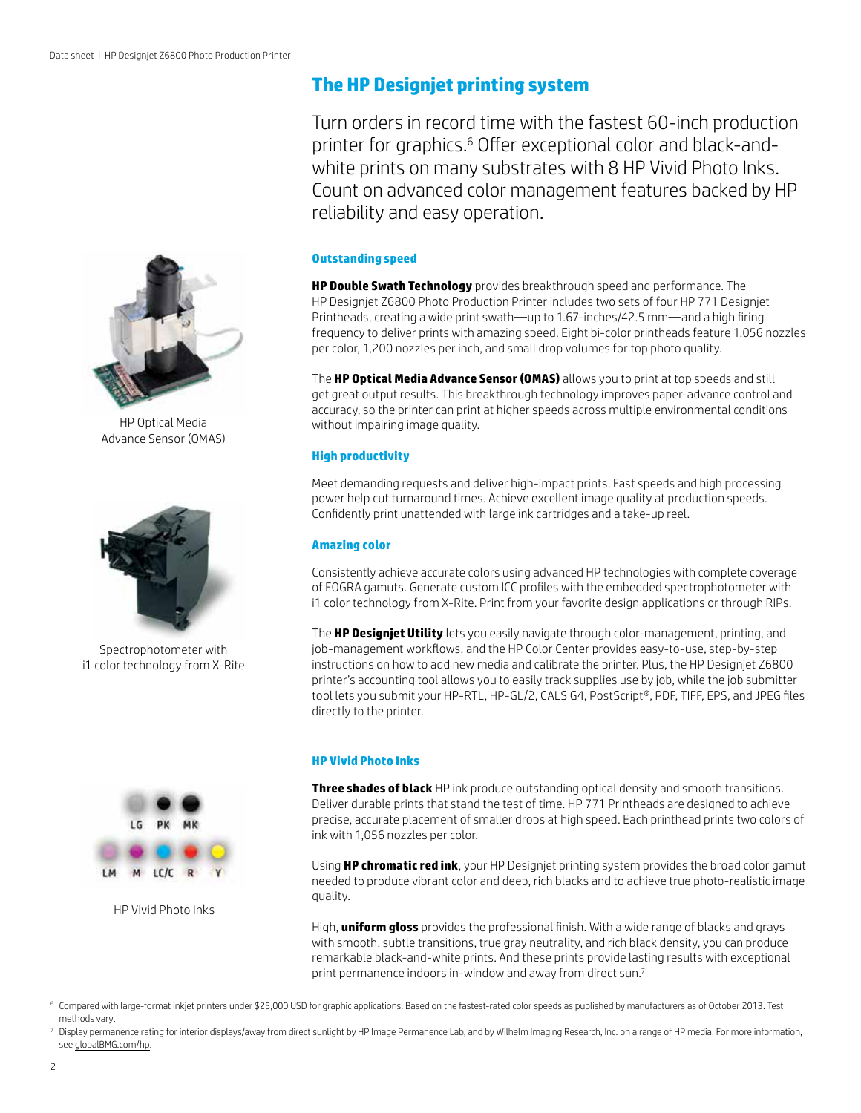

HP Optical Media Advance Sensor (OMAS)



Spectrophotometer with i1 color technology from X-Rite



HP Vivid Photo Inks

### **The HP Designjet printing system**

Turn orders in record time with the fastest 60-inch production printer for graphics.6 Offer exceptional color and black-andwhite prints on many substrates with 8 HP Vivid Photo Inks. Count on advanced color management features backed by HP reliability and easy operation.

#### **Outstanding speed**

**HP Double Swath Technology** provides breakthrough speed and performance. The HP Designjet Z6800 Photo Production Printer includes two sets of four HP 771 Designjet Printheads, creating a wide print swath—up to 1.67-inches/42.5 mm—and a high firing frequency to deliver prints with amazing speed. Eight bi-color printheads feature 1,056 nozzles per color, 1,200 nozzles per inch, and small drop volumes for top photo quality.

The **HP Optical Media Advance Sensor (OMAS)** allows you to print at top speeds and still get great output results. This breakthrough technology improves paper-advance control and accuracy, so the printer can print at higher speeds across multiple environmental conditions without impairing image quality.

### **High productivity**

Meet demanding requests and deliver high-impact prints. Fast speeds and high processing power help cut turnaround times. Achieve excellent image quality at production speeds. Confidently print unattended with large ink cartridges and a take-up reel.

#### **Amazing color**

Consistently achieve accurate colors using advanced HP technologies with complete coverage of FOGRA gamuts. Generate custom ICC profiles with the embedded spectrophotometer with i1 color technology from X-Rite. Print from your favorite design applications or through RIPs.

The **HP Designjet Utility** lets you easily navigate through color-management, printing, and job-management workflows, and the HP Color Center provides easy-to-use, step-by-step instructions on how to add new media and calibrate the printer. Plus, the HP Designjet Z6800 printer's accounting tool allows you to easily track supplies use by job, while the job submitter tool lets you submit your HP-RTL, HP-GL/2, CALS G4, PostScript®, PDF, TIFF, EPS, and JPEG files directly to the printer.

### **HP Vivid Photo Inks**

**Three shades of black** HP ink produce outstanding optical density and smooth transitions. Deliver durable prints that stand the test of time. HP 771 Printheads are designed to achieve precise, accurate placement of smaller drops at high speed. Each printhead prints two colors of ink with 1,056 nozzles per color.

Using **HP chromatic red ink**, your HP Designjet printing system provides the broad color gamut needed to produce vibrant color and deep, rich blacks and to achieve true photo-realistic image quality.

High, **uniform gloss** provides the professional finish. With a wide range of blacks and grays with smooth, subtle transitions, true gray neutrality, and rich black density, you can produce remarkable black-and-white prints. And these prints provide lasting results with exceptional print permanence indoors in-window and away from direct sun.<sup>7</sup>

<sup>6</sup> Compared with large-format inkjet printers under \$25,000 USD for graphic applications. Based on the fastest-rated color speeds as published by manufacturers as of October 2013. Test methods vary.

<sup>7</sup> Display permanence rating for interior displays/away from direct sunlight by HP Image Permanence Lab, and by Wilhelm Imaging Research, Inc. on a range of HP media. For more information, see [globalBMG.com/hp](www.globalBMG.com/hp).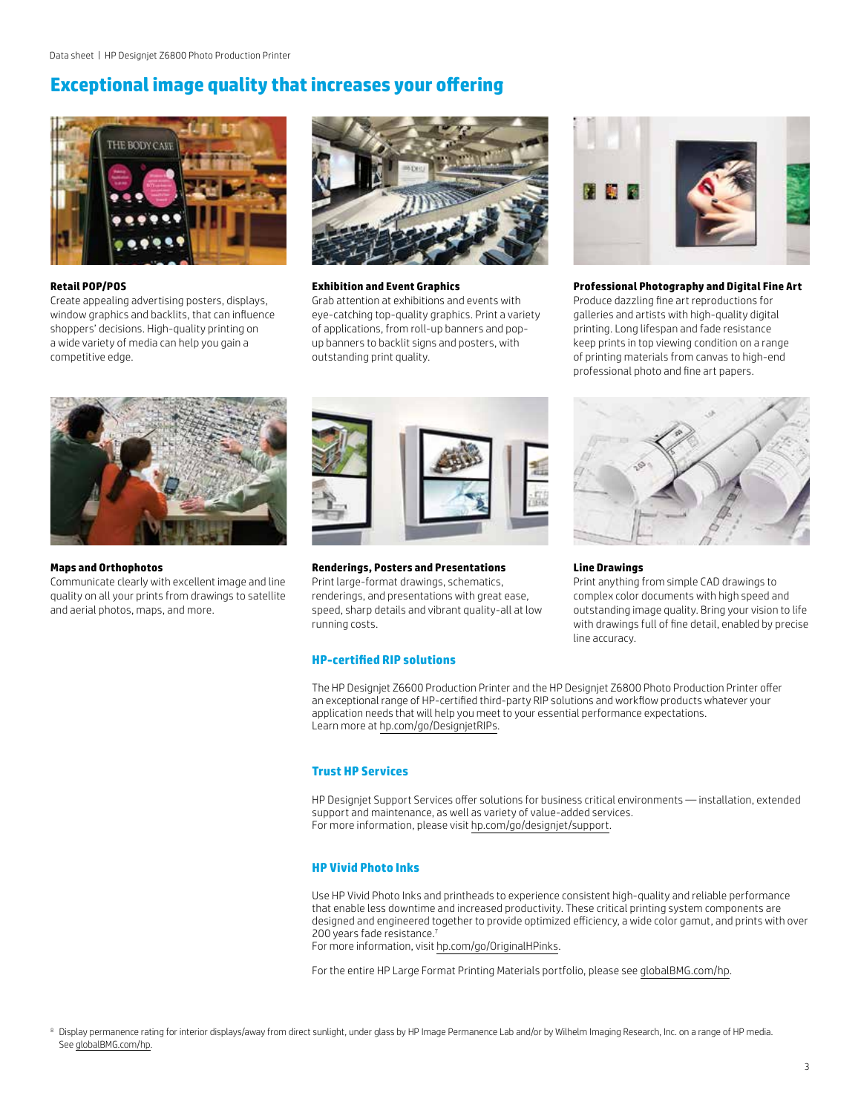### **Exceptional image quality that increases your offering**



#### **Retail POP/POS**

Create appealing advertising posters, displays, window graphics and backlits, that can influence shoppers' decisions. High-quality printing on a wide variety of media can help you gain a competitive edge.



#### **Exhibition and Event Graphics**

Grab attention at exhibitions and events with eye-catching top-quality graphics. Print a variety of applications, from roll-up banners and popup banners to backlit signs and posters, with outstanding print quality.



#### **Professional Photography and Digital Fine Art**

Produce dazzling fine art reproductions for galleries and artists with high-quality digital printing. Long lifespan and fade resistance keep prints in top viewing condition on a range of printing materials from canvas to high-end professional photo and fine art papers.



**Maps and Orthophotos**

Communicate clearly with excellent image and line quality on all your prints from drawings to satellite and aerial photos, maps, and more.



**Renderings, Posters and Presentations**

Print large-format drawings, schematics, renderings, and presentations with great ease, speed, sharp details and vibrant quality-all at low running costs.

### **HP-certified RIP solutions**

The HP Designjet Z6600 Production Printer and the HP Designjet Z6800 Photo Production Printer offer an exceptional range of HP-certified third-party RIP solutions and workflow products whatever your application needs that will help you meet to your essential performance expectations. Learn more at [hp.com/go/DesignjetRIPs.](www.hp.com/go/DesignjetRIPs)

### **Trust HP Services**

HP Designjet Support Services offer solutions for business critical environments — installation, extended support and maintenance, as well as variety of value-added services. For more information, please visit [hp.com/go/designjet/support](www.hp.com/go/designjet/support).

### **HP Vivid Photo Inks**

Use HP Vivid Photo Inks and printheads to experience consistent high-quality and reliable performance that enable less downtime and increased productivity. These critical printing system components are designed and engineered together to provide optimized efficiency, a wide color gamut, and prints with over 200 years fade resistance.<sup>7</sup> For more information, visit [hp.com/go/OriginalHPinks](www.hp.com/go/OriginalHPinks).

For the entire HP Large Format Printing Materials portfolio, please see [globalBMG.com/hp](www.globalBMG.com/hp).

**Line Drawings**

Print anything from simple CAD drawings to complex color documents with high speed and outstanding image quality. Bring your vision to life with drawings full of fine detail, enabled by precise line accuracy.

3

<sup>8</sup> Display permanence rating for interior displays/away from direct sunlight, under glass by HP Image Permanence Lab and/or by Wilhelm Imaging Research, Inc. on a range of HP media. See [globalBMG.com/hp.](www.globalBMG.com/hp)